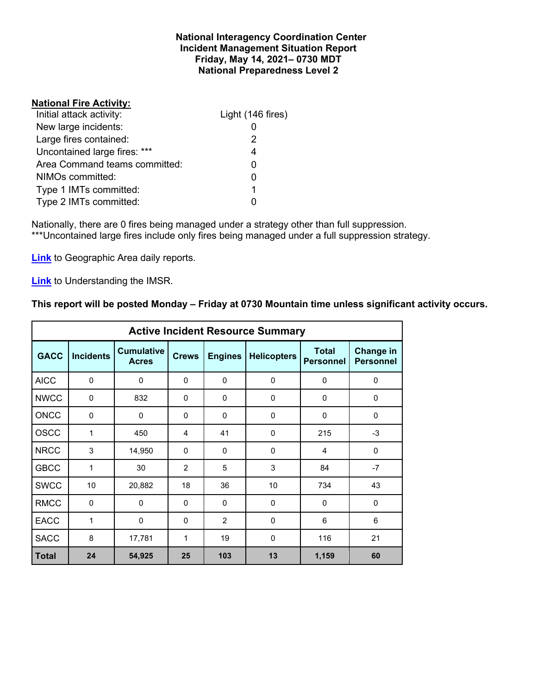#### **National Interagency Coordination Center Incident Management Situation Report Friday, May 14, 2021– 0730 MDT National Preparedness Level 2**

### **National Fire Activity:**

| Initial attack activity:      | Light (146 fires) |
|-------------------------------|-------------------|
| New large incidents:          |                   |
| Large fires contained:        | 2                 |
| Uncontained large fires: ***  |                   |
| Area Command teams committed: |                   |
| NIMOs committed:              |                   |
| Type 1 IMTs committed:        |                   |
| Type 2 IMTs committed:        |                   |

Nationally, there are 0 fires being managed under a strategy other than full suppression. \*\*\*Uncontained large fires include only fires being managed under a full suppression strategy.

**[Link](http://www.nifc.gov/nicc/predictive/statelinks.htm)** to Geographic Area daily reports.

**[Link](https://www.predictiveservices.nifc.gov/intelligence/Understanding%20the%20IMSR%202019.pdf)** to Understanding the IMSR.

## **This report will be posted Monday – Friday at 0730 Mountain time unless significant activity occurs.**

|              | <b>Active Incident Resource Summary</b> |                                   |                |                |                    |                                  |                               |  |  |  |  |
|--------------|-----------------------------------------|-----------------------------------|----------------|----------------|--------------------|----------------------------------|-------------------------------|--|--|--|--|
| <b>GACC</b>  | <b>Incidents</b>                        | <b>Cumulative</b><br><b>Acres</b> | <b>Crews</b>   | <b>Engines</b> | <b>Helicopters</b> | <b>Total</b><br><b>Personnel</b> | Change in<br><b>Personnel</b> |  |  |  |  |
| <b>AICC</b>  | $\Omega$                                | 0                                 | $\mathbf{0}$   | $\Omega$       | $\Omega$           | $\mathbf{0}$                     | $\mathbf 0$                   |  |  |  |  |
| <b>NWCC</b>  | $\mathbf 0$                             | 832                               | $\mathbf{0}$   | 0              | 0                  | 0                                | 0                             |  |  |  |  |
| <b>ONCC</b>  | $\Omega$                                | $\Omega$                          | $\mathbf{0}$   | $\Omega$       | $\Omega$           | $\mathbf{0}$                     | $\Omega$                      |  |  |  |  |
| <b>OSCC</b>  | 1                                       | 450                               | 4              | 41             | $\Omega$           | 215                              | $-3$                          |  |  |  |  |
| <b>NRCC</b>  | 3                                       | 14,950                            | 0              | $\Omega$       | 0                  | 4                                | $\mathbf 0$                   |  |  |  |  |
| <b>GBCC</b>  | 1                                       | 30                                | $\overline{2}$ | 5              | 3                  | 84                               | $-7$                          |  |  |  |  |
| <b>SWCC</b>  | 10                                      | 20,882                            | 18             | 36             | 10                 | 734                              | 43                            |  |  |  |  |
| <b>RMCC</b>  | $\mathbf 0$                             | $\mathbf 0$                       | $\mathbf{0}$   | $\Omega$       | $\Omega$           | $\Omega$                         | $\mathbf 0$                   |  |  |  |  |
| <b>EACC</b>  | 1                                       | 0                                 | $\mathbf{0}$   | 2              | $\Omega$           | 6                                | 6                             |  |  |  |  |
| <b>SACC</b>  | 8                                       | 17,781                            | 1              | 19             | $\Omega$           | 116                              | 21                            |  |  |  |  |
| <b>Total</b> | 24                                      | 54,925                            | 25             | 103            | 13                 | 1,159                            | 60                            |  |  |  |  |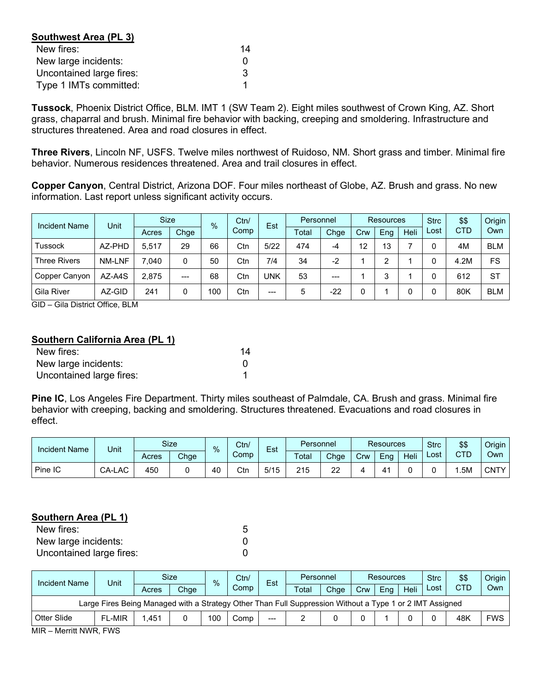| Southwest Area (PL 3)    |    |
|--------------------------|----|
| New fires:               | 14 |
| New large incidents:     |    |
| Uncontained large fires: | 3  |
| Type 1 IMTs committed:   |    |

**Tussock**, Phoenix District Office, BLM. IMT 1 (SW Team 2). Eight miles southwest of Crown King, AZ. Short grass, chaparral and brush. Minimal fire behavior with backing, creeping and smoldering. Infrastructure and structures threatened. Area and road closures in effect.

**Three Rivers**, Lincoln NF, USFS. Twelve miles northwest of Ruidoso, NM. Short grass and timber. Minimal fire behavior. Numerous residences threatened. Area and trail closures in effect.

**Copper Canyon**, Central District, Arizona DOF. Four miles northeast of Globe, AZ. Brush and grass. No new information. Last report unless significant activity occurs.

| <b>Incident Name</b> | Unit   | <b>Size</b> |       | $\%$ | Ctn/ | Est  | Personnel |       | <b>Resources</b> |     |             | <b>Strc</b> | \$\$       | Origin     |
|----------------------|--------|-------------|-------|------|------|------|-----------|-------|------------------|-----|-------------|-------------|------------|------------|
|                      |        | Acres       | Chge  |      | Comp |      | Total     | Chge  | Crw              | Eng | <b>Heli</b> | Lost        | <b>CTD</b> | Own        |
| <b>Tussock</b>       | AZ-PHD | 5.517       | 29    | 66   | Ctn  | 5/22 | 474       | -4    | 12               | 13  |             |             | 4M         | <b>BLM</b> |
| <b>Three Rivers</b>  | NM-LNF | 7.040       |       | 50   | Ctn  | 7/4  | 34        | $-2$  |                  | っ   |             |             | 4.2M       | FS         |
| Copper Canyon        | AZ-A4S | 2,875       | $---$ | 68   | Ctn  | UNK  | 53        | $---$ |                  | 3   |             |             | 612        | <b>ST</b>  |
| <b>Gila River</b>    | AZ-GID | 241         |       | 100  | Ctn  | $--$ | 5         | $-22$ |                  |     |             |             | 80K        | <b>BLM</b> |

GID – Gila District Office, BLM

#### **Southern California Area (PL 1)**

| New fires:               | 14 |
|--------------------------|----|
| New large incidents:     |    |
| Uncontained large fires: |    |

**Pine IC**, Los Angeles Fire Department. Thirty miles southeast of Palmdale, CA. Brush and grass. Minimal fire behavior with creeping, backing and smoldering. Structures threatened. Evacuations and road closures in effect.

| <b>Incident Name</b> | Unit   |       | <b>Size</b> | $\frac{9}{6}$ | Ctn/ | $\overline{\phantom{0}}$<br>Est | Personnel |        | <b>Resources</b> |     |      | <b>Strc</b> | \$\$ | Origin |
|----------------------|--------|-------|-------------|---------------|------|---------------------------------|-----------|--------|------------------|-----|------|-------------|------|--------|
|                      |        | Acres | Chge        |               | Comp |                                 | Total     | Chge   | Crw              | Eng | Heli | Lost        | CTD  | Own    |
| Pine IC              | CA-LAC | 450   |             | 40            | Ctn  | 5/15                            | 215       | ົ<br>ے |                  | Δ΄  |      |             | .5M  | CNTY I |

#### **Southern Area (PL 1)**

| New fires:               |  |
|--------------------------|--|
| New large incidents:     |  |
| Uncontained large fires: |  |

| <b>Incident Name</b>                                                                                     | Unit          |       | Size | $\%$ | Ctn/ | Est   | Personnel |      | <b>Resources</b> |     |      | <b>Strc</b> | \$\$       | Origin     |
|----------------------------------------------------------------------------------------------------------|---------------|-------|------|------|------|-------|-----------|------|------------------|-----|------|-------------|------------|------------|
|                                                                                                          |               | Acres | Chge |      | Comp |       | Total     | Chge | Crw              | Ena | Heli | Lost        | <b>CTD</b> | Own        |
| Large Fires Being Managed with a Strategy Other Than Full Suppression Without a Type 1 or 2 IMT Assigned |               |       |      |      |      |       |           |      |                  |     |      |             |            |            |
| Otter Slide                                                                                              | <b>FL-MIR</b> | .451  |      | 100  | Comp | $---$ |           |      |                  |     |      |             | 48K        | <b>FWS</b> |
| <b>MID</b><br>$M_{\odot}$ rritt NIM/D $EIMC$                                                             |               |       |      |      |      |       |           |      |                  |     |      |             |            |            |

MIR – Merritt NWR, FWS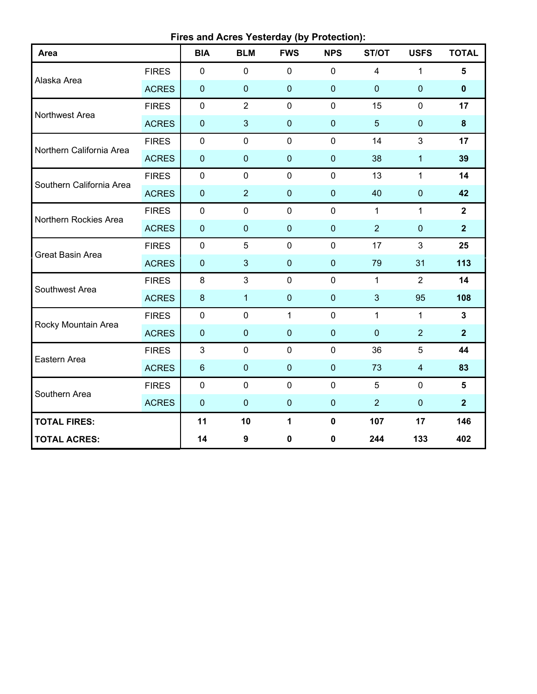**Fires and Acres Yesterday (by Protection):**

| Area                     |              | <b>BIA</b>     | <b>BLM</b>     | <b>FWS</b>   | <b>NPS</b>     | ST/OT          | <b>USFS</b>             | <b>TOTAL</b>   |
|--------------------------|--------------|----------------|----------------|--------------|----------------|----------------|-------------------------|----------------|
|                          | <b>FIRES</b> | $\mathbf 0$    | $\mathbf 0$    | $\mathbf 0$  | $\mathbf 0$    | $\overline{4}$ | $\mathbf{1}$            | 5              |
| Alaska Area              | <b>ACRES</b> | $\pmb{0}$      | $\pmb{0}$      | $\pmb{0}$    | $\overline{0}$ | $\mathbf 0$    | $\pmb{0}$               | $\mathbf 0$    |
| Northwest Area           | <b>FIRES</b> | $\mathbf 0$    | $\overline{2}$ | $\mathbf 0$  | $\mathbf 0$    | 15             | $\mathbf 0$             | 17             |
|                          | <b>ACRES</b> | $\pmb{0}$      | 3              | $\pmb{0}$    | $\mathbf{0}$   | $5\phantom{.}$ | $\pmb{0}$               | 8              |
| Northern California Area | <b>FIRES</b> | $\mathbf 0$    | $\mathbf 0$    | $\mathbf 0$  | $\mathbf 0$    | 14             | 3                       | 17             |
|                          | <b>ACRES</b> | $\pmb{0}$      | $\mathbf 0$    | $\pmb{0}$    | $\overline{0}$ | 38             | $\mathbf{1}$            | 39             |
| Southern California Area | <b>FIRES</b> | $\pmb{0}$      | $\mathbf 0$    | $\mathbf 0$  | $\mathbf 0$    | 13             | $\mathbf{1}$            | 14             |
|                          | <b>ACRES</b> | $\pmb{0}$      | $\overline{2}$ | $\pmb{0}$    | $\pmb{0}$      | 40             | $\boldsymbol{0}$        | 42             |
| Northern Rockies Area    | <b>FIRES</b> | $\pmb{0}$      | $\mathbf 0$    | $\mathbf 0$  | $\mathbf 0$    | $\mathbf{1}$   | $\mathbf{1}$            | $\overline{2}$ |
|                          | <b>ACRES</b> | $\pmb{0}$      | $\mathbf{0}$   | $\mathbf 0$  | $\mathbf{0}$   | $\overline{2}$ | $\mathbf 0$             | $\overline{2}$ |
| <b>Great Basin Area</b>  | <b>FIRES</b> | 0              | 5              | $\mathbf 0$  | $\mathbf 0$    | 17             | 3                       | 25             |
|                          | <b>ACRES</b> | $\pmb{0}$      | $\mathbf{3}$   | $\pmb{0}$    | $\overline{0}$ | 79             | 31                      | 113            |
| Southwest Area           | <b>FIRES</b> | 8              | 3              | $\mathbf 0$  | $\mathbf 0$    | $\mathbf{1}$   | $\overline{2}$          | 14             |
|                          | <b>ACRES</b> | $\bf 8$        | $\mathbf{1}$   | $\pmb{0}$    | $\pmb{0}$      | $\mathbf{3}$   | 95                      | 108            |
| Rocky Mountain Area      | <b>FIRES</b> | $\pmb{0}$      | $\mathbf 0$    | $\mathbf{1}$ | $\mathbf 0$    | $\mathbf{1}$   | $\mathbf{1}$            | $\mathbf{3}$   |
|                          | <b>ACRES</b> | $\pmb{0}$      | $\mathbf 0$    | $\pmb{0}$    | $\overline{0}$ | $\mathbf{0}$   | $\overline{2}$          | $\overline{2}$ |
| Eastern Area             | <b>FIRES</b> | $\mathfrak{B}$ | $\mathbf 0$    | $\mathbf 0$  | $\mathbf 0$    | 36             | 5                       | 44             |
|                          | <b>ACRES</b> | $\,6\,$        | $\pmb{0}$      | $\pmb{0}$    | $\mathbf 0$    | 73             | $\overline{\mathbf{4}}$ | 83             |
| Southern Area            | <b>FIRES</b> | $\mathbf 0$    | $\mathbf 0$    | $\mathbf 0$  | $\mathbf 0$    | 5              | $\mathbf 0$             | 5              |
|                          | <b>ACRES</b> | $\pmb{0}$      | $\mathbf 0$    | $\pmb{0}$    | $\mathbf 0$    | $\overline{2}$ | $\pmb{0}$               | $\overline{2}$ |
| <b>TOTAL FIRES:</b>      |              | 11             | 10             | 1            | $\mathbf 0$    | 107            | 17                      | 146            |
| <b>TOTAL ACRES:</b>      |              | 14             | 9              | $\pmb{0}$    | $\pmb{0}$      | 244            | 133                     | 402            |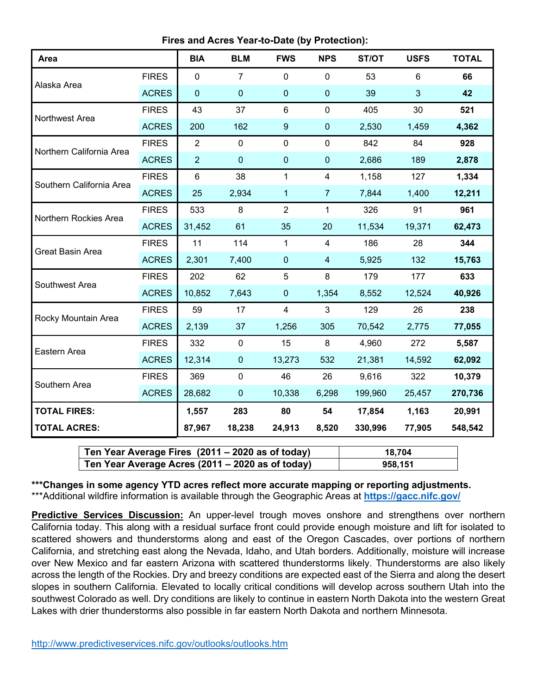**Fires and Acres Year-to-Date (by Protection):**

| Area                     |              | <b>BIA</b>     | <b>BLM</b>     | <b>FWS</b>     | <b>NPS</b>     | ST/OT   | <b>USFS</b>    | <b>TOTAL</b> |
|--------------------------|--------------|----------------|----------------|----------------|----------------|---------|----------------|--------------|
| Alaska Area              | <b>FIRES</b> | $\mathbf 0$    | $\overline{7}$ | 0              | $\mathbf 0$    | 53      | $6\phantom{1}$ | 66           |
|                          | <b>ACRES</b> | $\mathbf 0$    | $\pmb{0}$      | 0              | $\mathbf 0$    | 39      | $\mathbf{3}$   | 42           |
| Northwest Area           | <b>FIRES</b> | 43             | 37             | 6              | $\mathbf 0$    | 405     | 30             | 521          |
|                          | <b>ACRES</b> | 200            | 162            | 9              | $\pmb{0}$      | 2,530   | 1,459          | 4,362        |
| Northern California Area | <b>FIRES</b> | $\overline{2}$ | $\mathbf 0$    | $\mathbf 0$    | $\mathbf 0$    | 842     | 84             | 928          |
|                          | <b>ACRES</b> | $\overline{2}$ | $\mathbf 0$    | 0              | $\mathbf 0$    | 2,686   | 189            | 2,878        |
| Southern California Area | <b>FIRES</b> | $\,6\,$        | 38             | 1              | $\overline{4}$ | 1,158   | 127            | 1,334        |
|                          | <b>ACRES</b> | 25             | 2,934          | 1              | $\overline{7}$ | 7,844   | 1,400          | 12,211       |
| Northern Rockies Area    | <b>FIRES</b> | 533            | 8              | $\overline{2}$ | $\mathbf{1}$   | 326     | 91             | 961          |
|                          | <b>ACRES</b> | 31,452         | 61             | 35             | 20             | 11,534  | 19,371         | 62,473       |
| Great Basin Area         | <b>FIRES</b> | 11             | 114            | $\mathbf{1}$   | $\overline{4}$ | 186     | 28             | 344          |
|                          | <b>ACRES</b> | 2,301          | 7,400          | $\mathbf{0}$   | $\overline{4}$ | 5,925   | 132            | 15,763       |
| Southwest Area           | <b>FIRES</b> | 202            | 62             | 5              | 8              | 179     | 177            | 633          |
|                          | <b>ACRES</b> | 10,852         | 7,643          | $\pmb{0}$      | 1,354          | 8,552   | 12,524         | 40,926       |
| Rocky Mountain Area      | <b>FIRES</b> | 59             | 17             | $\overline{4}$ | 3              | 129     | 26             | 238          |
|                          | <b>ACRES</b> | 2,139          | 37             | 1,256          | 305            | 70,542  | 2,775          | 77,055       |
| Eastern Area             | <b>FIRES</b> | 332            | $\mathbf 0$    | 15             | 8              | 4,960   | 272            | 5,587        |
|                          | <b>ACRES</b> | 12,314         | $\pmb{0}$      | 13,273         | 532            | 21,381  | 14,592         | 62,092       |
| Southern Area            | <b>FIRES</b> | 369            | $\mathbf 0$    | 46             | 26             | 9,616   | 322            | 10,379       |
|                          | <b>ACRES</b> | 28,682         | $\pmb{0}$      | 10,338         | 6,298          | 199,960 | 25,457         | 270,736      |
| <b>TOTAL FIRES:</b>      |              | 1,557          | 283            | 80             | 54             | 17,854  | 1,163          | 20,991       |
| <b>TOTAL ACRES:</b>      |              | 87,967         | 18,238         | 24,913         | 8,520          | 330,996 | 77,905         | 548,542      |

| Ten Year Average Fires (2011 – 2020 as of today) | 18.704  |
|--------------------------------------------------|---------|
| Ten Year Average Acres (2011 – 2020 as of today) | 958.151 |

**\*\*\*Changes in some agency YTD acres reflect more accurate mapping or reporting adjustments.** \*\*\*Additional wildfire information is available through the Geographic Areas at **<https://gacc.nifc.gov/>**

**Predictive Services Discussion:** An upper-level trough moves onshore and strengthens over northern California today. This along with a residual surface front could provide enough moisture and lift for isolated to scattered showers and thunderstorms along and east of the Oregon Cascades, over portions of northern California, and stretching east along the Nevada, Idaho, and Utah borders. Additionally, moisture will increase over New Mexico and far eastern Arizona with scattered thunderstorms likely. Thunderstorms are also likely across the length of the Rockies. Dry and breezy conditions are expected east of the Sierra and along the desert slopes in southern California. Elevated to locally critical conditions will develop across southern Utah into the southwest Colorado as well. Dry conditions are likely to continue in eastern North Dakota into the western Great Lakes with drier thunderstorms also possible in far eastern North Dakota and northern Minnesota.